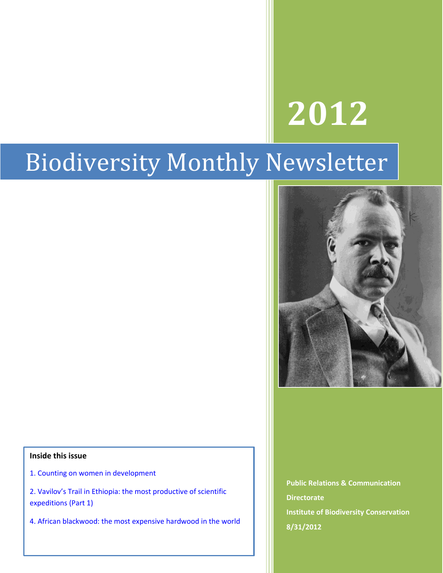# **2012**

## Biodiversity Monthly Newsletter

#### **Inside this issue**

- 1. Counting on women in development
- 2. Vavilov's Trail in Ethiopia: the most productive of scientific expeditions (Part 1)
- 4. African blackwood: the most expensive hardwood in the world

**Public Relations & Communication Directorate Institute of Biodiversity Conservation 8/31/2012**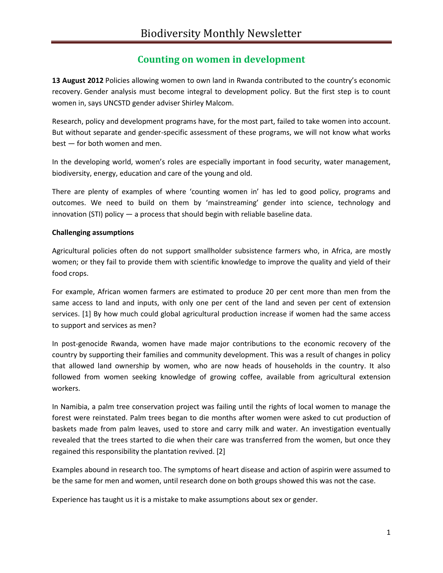#### **Counting on women in development**

**13 August 2012** Policies allowing women to own land in Rwanda contributed to the country's economic recovery. Gender analysis must become integral to development policy. But the first step is to count women in, says UNCSTD gender adviser Shirley Malcom.

Research, policy and development programs have, for the most part, failed to take women into account. But without separate and gender-specific assessment of these programs, we will not know what works best — for both women and men.

In the developing world, women's roles are especially important in food security, water management, biodiversity, energy, education and care of the young and old.

There are plenty of examples of where 'counting women in' has led to good policy, programs and outcomes. We need to build on them by 'mainstreaming' gender into science, technology and innovation (STI) policy — a process that should begin with reliable baseline data.

#### **Challenging assumptions**

Agricultural policies often do not support smallholder subsistence farmers who, in Africa, are mostly women; or they fail to provide them with scientific knowledge to improve the quality and yield of their food crops.

For example, African women farmers are estimated to produce 20 per cent more than men from the same access to land and inputs, with only one per cent of the land and seven per cent of extension services. [1] By how much could global agricultural production increase if women had the same access to support and services as men?

In post-genocide Rwanda, women have made major contributions to the economic recovery of the country by supporting their families and community development. This was a result of changes in policy that allowed land ownership by women, who are now heads of households in the country. It also followed from women seeking knowledge of growing coffee, available from agricultural extension workers.

In Namibia, a palm tree conservation project was failing until the rights of local women to manage the forest were reinstated. Palm trees began to die months after women were asked to cut production of baskets made from palm leaves, used to store and carry milk and water. An investigation eventually revealed that the trees started to die when their care was transferred from the women, but once they regained this responsibility the plantation revived. [2]

Examples abound in research too. The symptoms of heart disease and action of aspirin were assumed to be the same for men and women, until research done on both groups showed this was not the case.

Experience has taught us it is a mistake to make assumptions about sex or gender.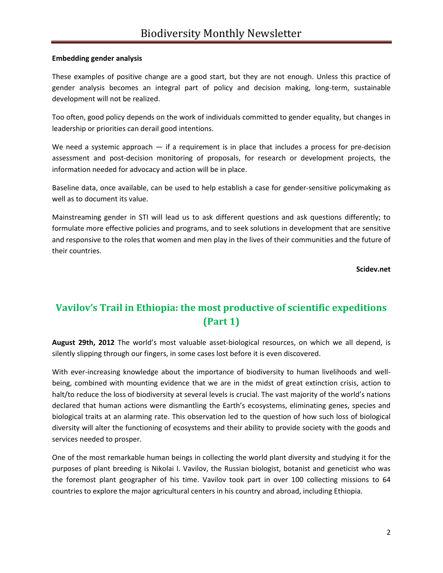#### **Embedding gender analysis**

These examples of positive change are a good start, but they are not enough. Unless this practice of gender analysis becomes an integral part of policy and decision making, long-term, sustainable development will not be realized.

Too often, good policy depends on the work of individuals committed to gender equality, but changes in leadership or priorities can derail good intentions.

We need a systemic approach  $-$  if a requirement is in place that includes a process for pre-decision assessment and post-decision monitoring of proposals, for research or development projects, the information needed for advocacy and action will be in place.

Baseline data, once available, can be used to help establish a case for gender-sensitive policymaking as well as to document its value.

Mainstreaming gender in STI will lead us to ask different questions and ask questions differently; to formulate more effective policies and programs, and to seek solutions in development that are sensitive and responsive to the roles that women and men play in the lives of their communities and the future of their countries.

**Scidev.net**

### **Vavilov's Trail in Ethiopia: the most productive of scientific expeditions (Part 1)**

**August 29th, 2012** The world's most valuable asset-biological resources, on which we all depend, is silently slipping through our fingers, in some cases lost before it is even discovered.

With ever-increasing knowledge about the importance of biodiversity to human livelihoods and wellbeing, combined with mounting evidence that we are in the midst of great extinction crisis, action to halt/to reduce the loss of biodiversity at several levels is crucial. The vast majority of the world's nations declared that human actions were dismantling the Earth's ecosystems, eliminating genes, species and biological traits at an alarming rate. This observation led to the question of how such loss of biological diversity will alter the functioning of ecosystems and their ability to provide society with the goods and services needed to prosper.

One of the most remarkable human beings in collecting the world plant diversity and studying it for the purposes of plant breeding is Nikolai I. Vavilov, the Russian biologist, botanist and geneticist who was the foremost plant geographer of his time. Vavilov took part in over 100 collecting missions to 64 countries to explore the major agricultural centers in his country and abroad, including Ethiopia.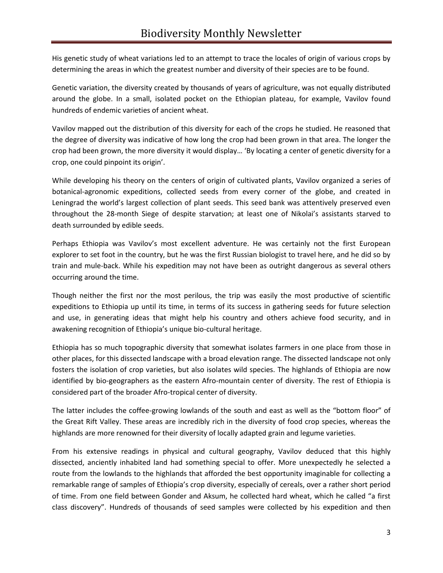His genetic study of wheat variations led to an attempt to trace the locales of origin of various crops by determining the areas in which the greatest number and diversity of their species are to be found.

Genetic variation, the diversity created by thousands of years of agriculture, was not equally distributed around the globe. In a small, isolated pocket on the Ethiopian plateau, for example, Vavilov found hundreds of endemic varieties of ancient wheat.

Vavilov mapped out the distribution of this diversity for each of the crops he studied. He reasoned that the degree of diversity was indicative of how long the crop had been grown in that area. The longer the crop had been grown, the more diversity it would display… 'By locating a center of genetic diversity for a crop, one could pinpoint its origin'.

While developing his theory on the centers of origin of cultivated plants, Vavilov organized a series of botanical-agronomic expeditions, collected seeds from every corner of the globe, and created in Leningrad the world's largest collection of plant seeds. This seed bank was attentively preserved even throughout the 28-month Siege of despite starvation; at least one of Nikolai's assistants starved to death surrounded by edible seeds.

Perhaps Ethiopia was Vavilov's most excellent adventure. He was certainly not the first European explorer to set foot in the country, but he was the first Russian biologist to travel here, and he did so by train and mule-back. While his expedition may not have been as outright dangerous as several others occurring around the time.

Though neither the first nor the most perilous, the trip was easily the most productive of scientific expeditions to Ethiopia up until its time, in terms of its success in gathering seeds for future selection and use, in generating ideas that might help his country and others achieve food security, and in awakening recognition of Ethiopia's unique bio-cultural heritage.

Ethiopia has so much topographic diversity that somewhat isolates farmers in one place from those in other places, for this dissected landscape with a broad elevation range. The dissected landscape not only fosters the isolation of crop varieties, but also isolates wild species. The highlands of Ethiopia are now identified by bio-geographers as the eastern Afro-mountain center of diversity. The rest of Ethiopia is considered part of the broader Afro-tropical center of diversity.

The latter includes the coffee-growing lowlands of the south and east as well as the "bottom floor" of the Great Rift Valley. These areas are incredibly rich in the diversity of food crop species, whereas the highlands are more renowned for their diversity of locally adapted grain and legume varieties.

From his extensive readings in physical and cultural geography, Vavilov deduced that this highly dissected, anciently inhabited land had something special to offer. More unexpectedly he selected a route from the lowlands to the highlands that afforded the best opportunity imaginable for collecting a remarkable range of samples of Ethiopia's crop diversity, especially of cereals, over a rather short period of time. From one field between Gonder and Aksum, he collected hard wheat, which he called "a first class discovery". Hundreds of thousands of seed samples were collected by his expedition and then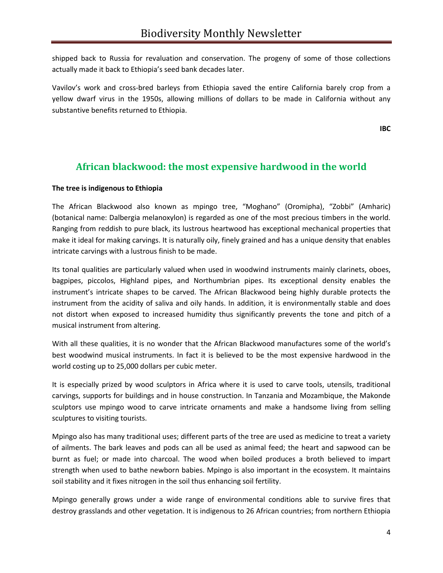shipped back to Russia for revaluation and conservation. The progeny of some of those collections actually made it back to Ethiopia's seed bank decades later.

Vavilov's work and cross-bred barleys from Ethiopia saved the entire California barely crop from a yellow dwarf virus in the 1950s, allowing millions of dollars to be made in California without any substantive benefits returned to Ethiopia.

**IBC**

#### **African blackwood: the most expensive hardwood in the world**

#### **The tree is indigenous to Ethiopia**

The African Blackwood also known as mpingo tree, "Moghano" (Oromipha), "Zobbi" (Amharic) (botanical name: Dalbergia melanoxylon) is regarded as one of the most precious timbers in the world. Ranging from reddish to pure black, its lustrous heartwood has exceptional mechanical properties that make it ideal for making carvings. It is naturally oily, finely grained and has a unique density that enables intricate carvings with a lustrous finish to be made.

Its tonal qualities are particularly valued when used in woodwind instruments mainly clarinets, oboes, bagpipes, piccolos, Highland pipes, and Northumbrian pipes. Its exceptional density enables the instrument's intricate shapes to be carved. The African Blackwood being highly durable protects the instrument from the acidity of saliva and oily hands. In addition, it is environmentally stable and does not distort when exposed to increased humidity thus significantly prevents the tone and pitch of a musical instrument from altering.

With all these qualities, it is no wonder that the African Blackwood manufactures some of the world's best woodwind musical instruments. In fact it is believed to be the most expensive hardwood in the world costing up to 25,000 dollars per cubic meter.

It is especially prized by wood sculptors in Africa where it is used to carve tools, utensils, traditional carvings, supports for buildings and in house construction. In Tanzania and Mozambique, the Makonde sculptors use mpingo wood to carve intricate ornaments and make a handsome living from selling sculptures to visiting tourists.

Mpingo also has many traditional uses; different parts of the tree are used as medicine to treat a variety of ailments. The bark leaves and pods can all be used as animal feed; the heart and sapwood can be burnt as fuel; or made into charcoal. The wood when boiled produces a broth believed to impart strength when used to bathe newborn babies. Mpingo is also important in the ecosystem. It maintains soil stability and it fixes nitrogen in the soil thus enhancing soil fertility.

Mpingo generally grows under a wide range of environmental conditions able to survive fires that destroy grasslands and other vegetation. It is indigenous to 26 African countries; from northern Ethiopia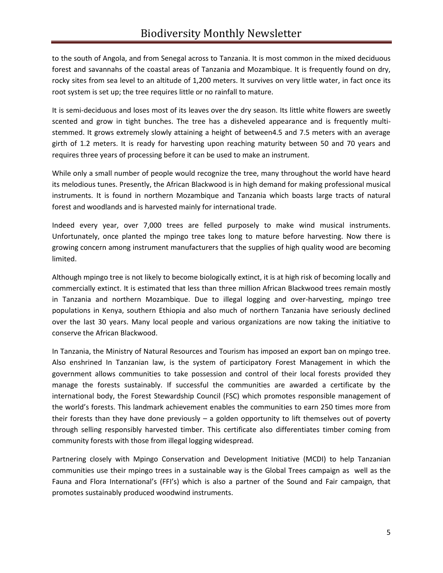to the south of Angola, and from Senegal across to Tanzania. It is most common in the mixed deciduous forest and savannahs of the coastal areas of Tanzania and Mozambique. It is frequently found on dry, rocky sites from sea level to an altitude of 1,200 meters. It survives on very little water, in fact once its root system is set up; the tree requires little or no rainfall to mature.

It is semi-deciduous and loses most of its leaves over the dry season. Its little white flowers are sweetly scented and grow in tight bunches. The tree has a disheveled appearance and is frequently multistemmed. It grows extremely slowly attaining a height of between4.5 and 7.5 meters with an average girth of 1.2 meters. It is ready for harvesting upon reaching maturity between 50 and 70 years and requires three years of processing before it can be used to make an instrument.

While only a small number of people would recognize the tree, many throughout the world have heard its melodious tunes. Presently, the African Blackwood is in high demand for making professional musical instruments. It is found in northern Mozambique and Tanzania which boasts large tracts of natural forest and woodlands and is harvested mainly for international trade.

Indeed every year, over 7,000 trees are felled purposely to make wind musical instruments. Unfortunately, once planted the mpingo tree takes long to mature before harvesting. Now there is growing concern among instrument manufacturers that the supplies of high quality wood are becoming limited.

Although mpingo tree is not likely to become biologically extinct, it is at high risk of becoming locally and commercially extinct. It is estimated that less than three million African Blackwood trees remain mostly in Tanzania and northern Mozambique. Due to illegal logging and over-harvesting, mpingo tree populations in Kenya, southern Ethiopia and also much of northern Tanzania have seriously declined over the last 30 years. Many local people and various organizations are now taking the initiative to conserve the African Blackwood.

In Tanzania, the Ministry of Natural Resources and Tourism has imposed an export ban on mpingo tree. Also enshrined In Tanzanian law, is the system of participatory Forest Management in which the government allows communities to take possession and control of their local forests provided they manage the forests sustainably. If successful the communities are awarded a certificate by the international body, the Forest Stewardship Council (FSC) which promotes responsible management of the world's forests. This landmark achievement enables the communities to earn 250 times more from their forests than they have done previously – a golden opportunity to lift themselves out of poverty through selling responsibly harvested timber. This certificate also differentiates timber coming from community forests with those from illegal logging widespread.

Partnering closely with Mpingo Conservation and Development Initiative (MCDI) to help Tanzanian communities use their mpingo trees in a sustainable way is the Global Trees campaign as well as the Fauna and Flora International's (FFI's) which is also a partner of the Sound and Fair campaign, that promotes sustainably produced woodwind instruments.